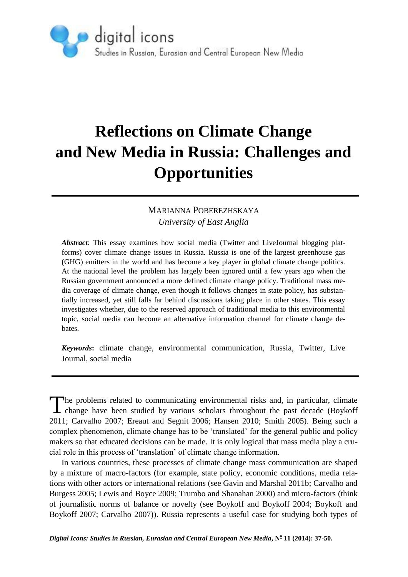

# **Reflections on Climate Change and New Media in Russia: Challenges and Opportunities**

## MARIANNA POBEREZHSKAYA *University of East Anglia*

*Abstract*: This essay examines how social media (Twitter and LiveJournal blogging platforms) cover climate change issues in Russia. Russia is one of the largest greenhouse gas (GHG) emitters in the world and has become a key player in global climate change politics. At the national level the problem has largely been ignored until a few years ago when the Russian government announced a more defined climate change policy. Traditional mass media coverage of climate change, even though it follows changes in state policy, has substantially increased, yet still falls far behind discussions taking place in other states. This essay investigates whether, due to the reserved approach of traditional media to this environmental topic, social media can become an alternative information channel for climate change debates.

*Keywords***:** climate change, environmental communication, Russia, Twitter, Live Journal, social media

he problems related to communicating environmental risks and, in particular, climate The problems related to communicating environmental risks and, in particular, climate change have been studied by various scholars throughout the past decade (Boykoff 2011; Carvalho 2007; Ereaut and Segnit 2006; Hansen 2010; Smith 2005). Being such a complex phenomenon, climate change has to be 'translated' for the general public and policy makers so that educated decisions can be made. It is only logical that mass media play a crucial role in this process of 'translation' of climate change information.

In various countries, these processes of climate change mass communication are shaped by a mixture of macro-factors (for example, state policy, economic conditions, media relations with other actors or international relations (see Gavin and Marshal 2011b; Carvalho and Burgess 2005; Lewis and Boyce 2009; Trumbo and Shanahan 2000) and micro-factors (think of journalistic norms of balance or novelty (see Boykoff and Boykoff 2004; Boykoff and Boykoff 2007; Carvalho 2007)). Russia represents a useful case for studying both types of

*Digital Icons: Studies in Russian, Eurasian and Central European New Media***, N<sup>o</sup> 11 (2014): 37-50.**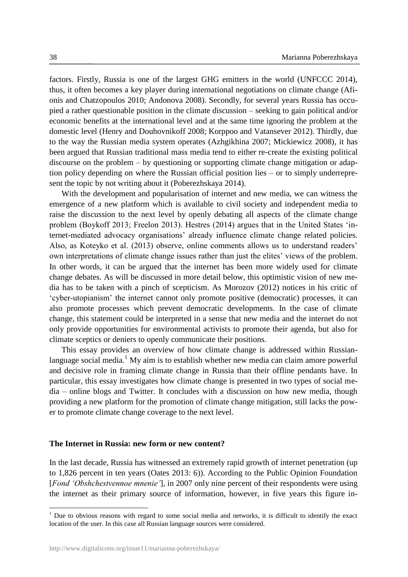factors. Firstly, Russia is one of the largest GHG emitters in the world (UNFCCC 2014), thus, it often becomes a key player during international negotiations on climate change (Afionis and Chatzopoulos 2010; Andonova 2008). Secondly, for several years Russia has occupied a rather questionable position in the climate discussion – seeking to gain political and/or economic benefits at the international level and at the same time ignoring the problem at the domestic level (Henry and Douhovnikoff 2008; Korppoo and Vatansever 2012). Thirdly, due to the way the Russian media system operates (Azhgikhina 2007; Mickiewicz 2008), it has been argued that Russian traditional mass media tend to either re-create the existing political discourse on the problem – by questioning or supporting climate change mitigation or adaption policy depending on where the Russian official position lies – or to simply underrepresent the topic by not writing about it (Poberezhskaya 2014).

With the development and popularisation of internet and new media, we can witness the emergence of a new platform which is available to civil society and independent media to raise the discussion to the next level by openly debating all aspects of the climate change problem (Boykoff 2013; Freelon 2013). Hestres (2014) argues that in the United States 'internet-mediated advocacy organisations' already influence climate change related policies. Also, as Koteyko et al. (2013) observe, online comments allows us to understand readers' own interpretations of climate change issues rather than just the elites' views of the problem. In other words, it can be argued that the internet has been more widely used for climate change debates. As will be discussed in more detail below, this optimistic vision of new media has to be taken with a pinch of scepticism. As Morozov (2012) notices in his critic of 'cyber-utopianism' the internet cannot only promote positive (democratic) processes, it can also promote processes which prevent democratic developments. In the case of climate change, this statement could be interpreted in a sense that new media and the internet do not only provide opportunities for environmental activists to promote their agenda, but also for climate sceptics or deniers to openly communicate their positions.

This essay provides an overview of how climate change is addressed within Russianlanguage social media.<sup>1</sup> My aim is to establish whether new media can claim amore powerful and decisive role in framing climate change in Russia than their offline pendants have. In particular, this essay investigates how climate change is presented in two types of social media – online blogs and Twitter. It concludes with a discussion on how new media, though providing a new platform for the promotion of climate change mitigation, still lacks the power to promote climate change coverage to the next level.

#### **The Internet in Russia: new form or new content?**

In the last decade, Russia has witnessed an extremely rapid growth of internet penetration (up to 1,826 percent in ten years (Oates 2013: 6)). According to the Public Opinion Foundation [*Fond 'Obshchestvennoe mnenie'*], in 2007 only nine percent of their respondents were using the internet as their primary source of information, however, in five years this figure in-

<u>.</u>

<sup>&</sup>lt;sup>1</sup> Due to obvious reasons with regard to some social media and networks, it is difficult to identify the exact location of the user. In this case all Russian language sources were considered.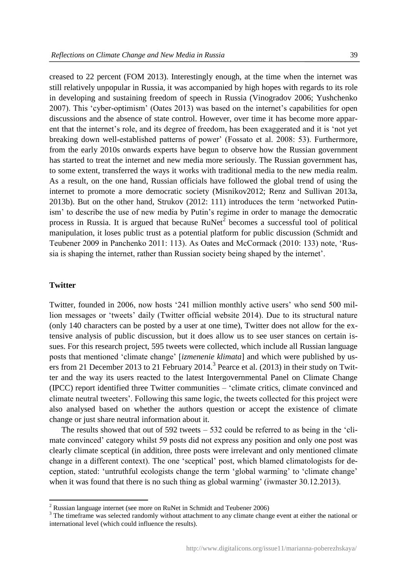creased to 22 percent (FOM 2013). Interestingly enough, at the time when the internet was still relatively unpopular in Russia, it was accompanied by high hopes with regards to its role in developing and sustaining freedom of speech in Russia (Vinogradov 2006; Yushchenko 2007). This 'cyber-optimism' (Oates 2013) was based on the internet's capabilities for open discussions and the absence of state control. However, over time it has become more apparent that the internet's role, and its degree of freedom, has been exaggerated and it is 'not yet breaking down well-established patterns of power' (Fossato et al. 2008: 53). Furthermore, from the early 2010s onwards experts have begun to observe how the Russian government has started to treat the internet and new media more seriously. The Russian government has, to some extent, transferred the ways it works with traditional media to the new media realm. As a result, on the one hand, Russian officials have followed the global trend of using the internet to promote a more democratic society (Misnikov2012; Renz and Sullivan 2013a, 2013b). But on the other hand, Strukov (2012: 111) introduces the term 'networked Putinism' to describe the use of new media by Putin's regime in order to manage the democratic process in Russia. It is argued that because  $RuNet<sup>2</sup>$  becomes a successful tool of political manipulation, it loses public trust as a potential platform for public discussion (Schmidt and Teubener 2009 in Panchenko 2011: 113). As Oates and McCormack (2010: 133) note, 'Russia is shaping the internet, rather than Russian society being shaped by the internet'.

### **Twitter**

1

Twitter, founded in 2006, now hosts '241 million monthly active users' who send 500 million messages or 'tweets' daily (Twitter official website 2014). Due to its structural nature (only 140 characters can be posted by a user at one time), Twitter does not allow for the extensive analysis of public discussion, but it does allow us to see user stances on certain issues. For this research project, 595 tweets were collected, which include all Russian language posts that mentioned 'climate change' [*izmenenie klimata*] and which were published by users from 21 December 2013 to 21 February 2014.<sup>3</sup> Pearce et al. (2013) in their study on Twitter and the way its users reacted to the latest Intergovernmental Panel on Climate Change (IPCC) report identified three Twitter communities – 'climate critics, climate convinced and climate neutral tweeters'. Following this same logic, the tweets collected for this project were also analysed based on whether the authors question or accept the existence of climate change or just share neutral information about it.

The results showed that out of 592 tweets – 532 could be referred to as being in the 'climate convinced' category whilst 59 posts did not express any position and only one post was clearly climate sceptical (in addition, three posts were irrelevant and only mentioned climate change in a different context). The one 'sceptical' post, which blamed climatologists for deception, stated: 'untruthful ecologists change the term 'global warming' to 'climate change' when it was found that there is no such thing as global warming' (iwmaster 30.12.2013).

 $2$  Russian language internet (see more on RuNet in Schmidt and Teubener 2006)

<sup>&</sup>lt;sup>3</sup> The timeframe was selected randomly without attachment to any climate change event at either the national or international level (which could influence the results).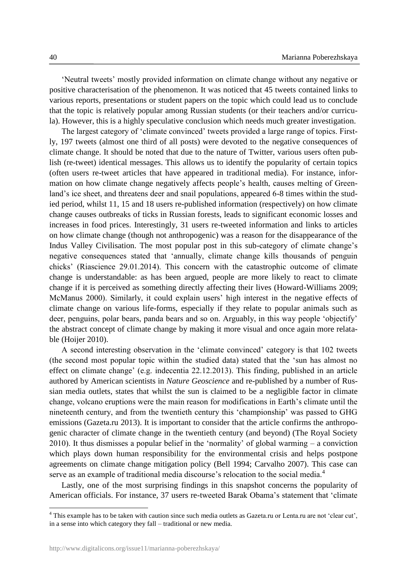'Neutral tweets' mostly provided information on climate change without any negative or positive characterisation of the phenomenon. It was noticed that 45 tweets contained links to various reports, presentations or student papers on the topic which could lead us to conclude that the topic is relatively popular among Russian students (or their teachers and/or curricula). However, this is a highly speculative conclusion which needs much greater investigation.

The largest category of 'climate convinced' tweets provided a large range of topics. Firstly, 197 tweets (almost one third of all posts) were devoted to the negative consequences of climate change. It should be noted that due to the nature of Twitter, various users often publish (re-tweet) identical messages. This allows us to identify the popularity of certain topics (often users re-tweet articles that have appeared in traditional media). For instance, information on how climate change negatively affects people's health, causes melting of Greenland's ice sheet, and threatens deer and snail populations, appeared 6-8 times within the studied period, whilst 11, 15 and 18 users re-published information (respectively) on how climate change causes outbreaks of ticks in Russian forests, leads to significant economic losses and increases in food prices. Interestingly, 31 users re-tweeted information and links to articles on how climate change (though not anthropogenic) was a reason for the disappearance of the Indus Valley Civilisation. The most popular post in this sub-category of climate change's negative consequences stated that 'annually, climate change kills thousands of penguin chicks' (Riascience 29.01.2014). This concern with the catastrophic outcome of climate change is understandable: as has been argued, people are more likely to react to climate change if it is perceived as something directly affecting their lives (Howard-Williams 2009; McManus 2000). Similarly, it could explain users' high interest in the negative effects of climate change on various life-forms, especially if they relate to popular animals such as deer, penguins, polar bears, panda bears and so on. Arguably, in this way people 'objectify' the abstract concept of climate change by making it more visual and once again more relatable (Hoijer 2010).

A second interesting observation in the 'climate convinced' category is that 102 tweets (the second most popular topic within the studied data) stated that the 'sun has almost no effect on climate change' (e.g. indecentia 22.12.2013). This finding, published in an article authored by American scientists in *Nature Geoscience* and re-published by a number of Russian media outlets, states that whilst the sun is claimed to be a negligible factor in climate change, volcano eruptions were the main reason for modifications in Earth's climate until the nineteenth century, and from the twentieth century this 'championship' was passed to GHG emissions (Gazeta.ru 2013). It is important to consider that the article confirms the anthropogenic character of climate change in the twentieth century (and beyond) (The Royal Society 2010). It thus dismisses a popular belief in the 'normality' of global warming – a conviction which plays down human responsibility for the environmental crisis and helps postpone agreements on climate change mitigation policy (Bell 1994; Carvalho 2007). This case can serve as an example of traditional media discourse's relocation to the social media.<sup>4</sup>

Lastly, one of the most surprising findings in this snapshot concerns the popularity of American officials. For instance, 37 users re-tweeted Barak Obama's statement that 'climate

<u>.</u>

<sup>&</sup>lt;sup>4</sup> This example has to be taken with caution since such media outlets as Gazeta.ru or Lenta.ru are not 'clear cut', in a sense into which category they fall – traditional or new media.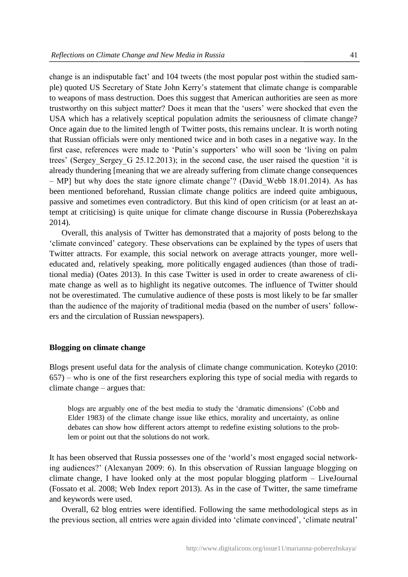change is an indisputable fact' and 104 tweets (the most popular post within the studied sample) quoted US Secretary of State John Kerry's statement that climate change is comparable to weapons of mass destruction. Does this suggest that American authorities are seen as more trustworthy on this subject matter? Does it mean that the 'users' were shocked that even the USA which has a relatively sceptical population admits the seriousness of climate change? Once again due to the limited length of Twitter posts, this remains unclear. It is worth noting that Russian officials were only mentioned twice and in both cases in a negative way. In the first case, references were made to 'Putin's supporters' who will soon be 'living on palm trees' (Sergey Sergey G 25.12.2013); in the second case, the user raised the question 'it is already thundering [meaning that we are already suffering from climate change consequences – MP] but why does the state ignore climate change'? (David\_Webb 18.01.2014). As has been mentioned beforehand, Russian climate change politics are indeed quite ambiguous, passive and sometimes even contradictory. But this kind of open criticism (or at least an attempt at criticising) is quite unique for climate change discourse in Russia (Poberezhskaya 2014).

Overall, this analysis of Twitter has demonstrated that a majority of posts belong to the 'climate convinced' category. These observations can be explained by the types of users that Twitter attracts. For example, this social network on average attracts younger, more welleducated and, relatively speaking, more politically engaged audiences (than those of traditional media) (Oates 2013). In this case Twitter is used in order to create awareness of climate change as well as to highlight its negative outcomes. The influence of Twitter should not be overestimated. The cumulative audience of these posts is most likely to be far smaller than the audience of the majority of traditional media (based on the number of users' followers and the circulation of Russian newspapers).

#### **Blogging on climate change**

Blogs present useful data for the analysis of climate change communication. Koteyko (2010: 657) – who is one of the first researchers exploring this type of social media with regards to climate change – argues that:

blogs are arguably one of the best media to study the 'dramatic dimensions' (Cobb and Elder 1983) of the climate change issue like ethics, morality and uncertainty, as online debates can show how different actors attempt to redefine existing solutions to the problem or point out that the solutions do not work.

It has been observed that Russia possesses one of the 'world's most engaged social networking audiences?' (Alexanyan 2009: 6). In this observation of Russian language blogging on climate change, I have looked only at the most popular blogging platform – LiveJournal (Fossato et al. 2008; Web Index report 2013). As in the case of Twitter, the same timeframe and keywords were used.

Overall, 62 blog entries were identified. Following the same methodological steps as in the previous section, all entries were again divided into 'climate convinced', 'climate neutral'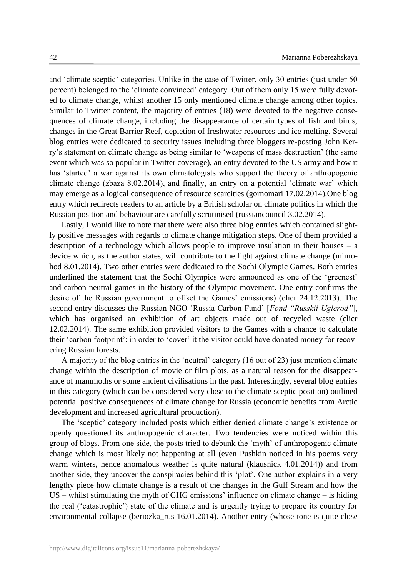and 'climate sceptic' categories. Unlike in the case of Twitter, only 30 entries (just under 50 percent) belonged to the 'climate convinced' category. Out of them only 15 were fully devoted to climate change, whilst another 15 only mentioned climate change among other topics. Similar to Twitter content, the majority of entries (18) were devoted to the negative consequences of climate change, including the disappearance of certain types of fish and birds, changes in the Great Barrier Reef, depletion of freshwater resources and ice melting. Several blog entries were dedicated to security issues including three bloggers re-posting John Kerry's statement on climate change as being similar to 'weapons of mass destruction' (the same event which was so popular in Twitter coverage), an entry devoted to the US army and how it has 'started' a war against its own climatologists who support the theory of anthropogenic climate change (zbaza 8.02.2014), and finally, an entry on a potential 'climate war' which may emerge as a logical consequence of resource scarcities (gornomari 17.02.2014).One blog entry which redirects readers to an article by a British scholar on climate politics in which the Russian position and behaviour are carefully scrutinised (russiancouncil 3.02.2014).

Lastly, I would like to note that there were also three blog entries which contained slightly positive messages with regards to climate change mitigation steps. One of them provided a description of a technology which allows people to improve insulation in their houses – a device which, as the author states, will contribute to the fight against climate change (mimohod 8.01.2014). Two other entries were dedicated to the Sochi Olympic Games. Both entries underlined the statement that the Sochi Olympics were announced as one of the 'greenest' and carbon neutral games in the history of the Olympic movement. One entry confirms the desire of the Russian government to offset the Games' emissions) (clicr 24.12.2013). The second entry discusses the Russian NGO 'Russia Carbon Fund' [*Fond "Russkii Uglerod"*], which has organised an exhibition of art objects made out of recycled waste (clicr 12.02.2014). The same exhibition provided visitors to the Games with a chance to calculate their 'carbon footprint': in order to 'cover' it the visitor could have donated money for recovering Russian forests.

A majority of the blog entries in the 'neutral' category (16 out of 23) just mention climate change within the description of movie or film plots, as a natural reason for the disappearance of mammoths or some ancient civilisations in the past. Interestingly, several blog entries in this category (which can be considered very close to the climate sceptic position) outlined potential positive consequences of climate change for Russia (economic benefits from Arctic development and increased agricultural production).

The 'sceptic' category included posts which either denied climate change's existence or openly questioned its anthropogenic character. Two tendencies were noticed within this group of blogs. From one side, the posts tried to debunk the 'myth' of anthropogenic climate change which is most likely not happening at all (even Pushkin noticed in his poems very warm winters, hence anomalous weather is quite natural (klausnick 4.01.2014)) and from another side, they uncover the conspiracies behind this 'plot'. One author explains in a very lengthy piece how climate change is a result of the changes in the Gulf Stream and how the US – whilst stimulating the myth of GHG emissions' influence on climate change – is hiding the real ('catastrophic') state of the climate and is urgently trying to prepare its country for environmental collapse (beriozka\_rus 16.01.2014). Another entry (whose tone is quite close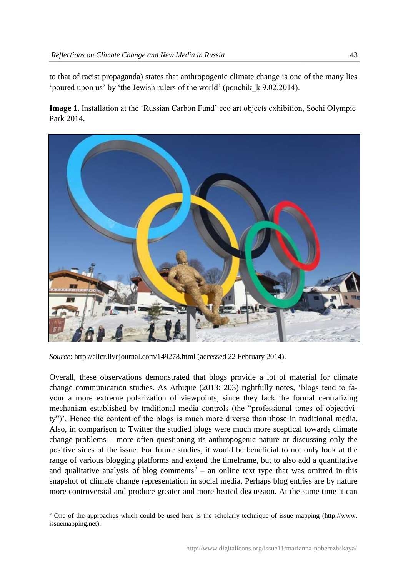to that of racist propaganda) states that anthropogenic climate change is one of the many lies 'poured upon us' by 'the Jewish rulers of the world' (ponchik\_k 9.02.2014).

**Image 1.** Installation at the 'Russian Carbon Fund' eco art objects exhibition, Sochi Olympic Park 2014.



*Source*: http://clicr.livejournal.com/149278.html (accessed 22 February 2014).

Overall, these observations demonstrated that blogs provide a lot of material for climate change communication studies. As Athique (2013: 203) rightfully notes, 'blogs tend to favour a more extreme polarization of viewpoints, since they lack the formal centralizing mechanism established by traditional media controls (the "professional tones of objectivity")'. Hence the content of the blogs is much more diverse than those in traditional media. Also, in comparison to Twitter the studied blogs were much more sceptical towards climate change problems – more often questioning its anthropogenic nature or discussing only the positive sides of the issue. For future studies, it would be beneficial to not only look at the range of various blogging platforms and extend the timeframe, but to also add a quantitative and qualitative analysis of blog comments<sup>5</sup> – an online text type that was omitted in this snapshot of climate change representation in social media. Perhaps blog entries are by nature more controversial and produce greater and more heated discussion. At the same time it can

<sup>&</sup>lt;u>.</u> <sup>5</sup> One of the approaches which could be used here is the scholarly technique of issue mapping (http://www. issuemapping.net).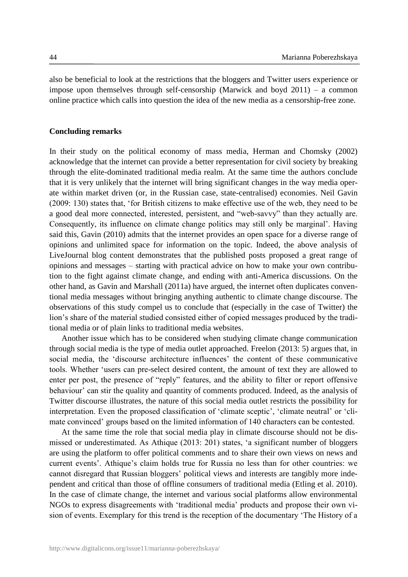also be beneficial to look at the restrictions that the bloggers and Twitter users experience or impose upon themselves through self-censorship (Marwick and boyd 2011) – a common online practice which calls into question the idea of the new media as a censorship-free zone.

### **Concluding remarks**

In their study on the political economy of mass media, Herman and Chomsky (2002) acknowledge that the internet can provide a better representation for civil society by breaking through the elite-dominated traditional media realm. At the same time the authors conclude that it is very unlikely that the internet will bring significant changes in the way media operate within market driven (or, in the Russian case, state-centralised) economies. Neil Gavin (2009: 130) states that, 'for British citizens to make effective use of the web, they need to be a good deal more connected, interested, persistent, and "web-savvy" than they actually are. Consequently, its influence on climate change politics may still only be marginal'. Having said this, Gavin (2010) admits that the internet provides an open space for a diverse range of opinions and unlimited space for information on the topic. Indeed, the above analysis of LiveJournal blog content demonstrates that the published posts proposed a great range of opinions and messages – starting with practical advice on how to make your own contribution to the fight against climate change, and ending with anti-America discussions. On the other hand, as Gavin and Marshall (2011a) have argued, the internet often duplicates conventional media messages without bringing anything authentic to climate change discourse. The observations of this study compel us to conclude that (especially in the case of Twitter) the lion's share of the material studied consisted either of copied messages produced by the traditional media or of plain links to traditional media websites.

Another issue which has to be considered when studying climate change communication through social media is the type of media outlet approached. Freelon (2013: 5) argues that, in social media, the 'discourse architecture influences' the content of these communicative tools. Whether 'users can pre-select desired content, the amount of text they are allowed to enter per post, the presence of "reply" features, and the ability to filter or report offensive behaviour' can stir the quality and quantity of comments produced. Indeed, as the analysis of Twitter discourse illustrates, the nature of this social media outlet restricts the possibility for interpretation. Even the proposed classification of 'climate sceptic', 'climate neutral' or 'climate convinced' groups based on the limited information of 140 characters can be contested.

At the same time the role that social media play in climate discourse should not be dismissed or underestimated. As Athique (2013: 201) states, 'a significant number of bloggers are using the platform to offer political comments and to share their own views on news and current events'. Athique's claim holds true for Russia no less than for other countries: we cannot disregard that Russian bloggers' political views and interests are tangibly more independent and critical than those of offline consumers of traditional media (Etling et al. 2010). In the case of climate change, the internet and various social platforms allow environmental NGOs to express disagreements with 'traditional media' products and propose their own vision of events. Exemplary for this trend is the reception of the documentary 'The History of a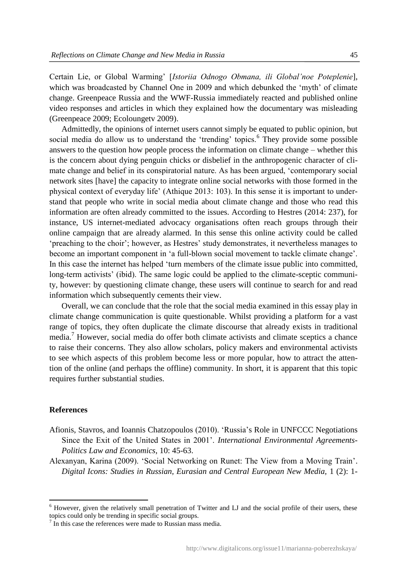Certain Lie, or Global Warming' [*Istoriia Odnogo Obmana, ili Global'noe Poteplenie*], which was broadcasted by Channel One in 2009 and which debunked the 'myth' of climate change. Greenpeace Russia and the WWF-Russia immediately reacted and published online video responses and articles in which they explained how the documentary was misleading (Greenpeace 2009; Ecoloungetv 2009).

Admittedly, the opinions of internet users cannot simply be equated to public opinion, but social media do allow us to understand the 'trending' topics.<sup>6</sup> They provide some possible answers to the question how people process the information on climate change – whether this is the concern about dying penguin chicks or disbelief in the anthropogenic character of climate change and belief in its conspiratorial nature. As has been argued, 'contemporary social network sites [have] the capacity to integrate online social networks with those formed in the physical context of everyday life' (Athique 2013: 103). In this sense it is important to understand that people who write in social media about climate change and those who read this information are often already committed to the issues. According to Hestres (2014: 237), for instance, US internet-mediated advocacy organisations often reach groups through their online campaign that are already alarmed. In this sense this online activity could be called 'preaching to the choir'; however, as Hestres' study demonstrates, it nevertheless manages to become an important component in 'a full-blown social movement to tackle climate change'. In this case the internet has helped 'turn members of the climate issue public into committed, long-term activists' (ibid). The same logic could be applied to the climate-sceptic community, however: by questioning climate change, these users will continue to search for and read information which subsequently cements their view.

Overall, we can conclude that the role that the social media examined in this essay play in climate change communication is quite questionable. Whilst providing a platform for a vast range of topics, they often duplicate the climate discourse that already exists in traditional media.<sup>7</sup> However, social media do offer both climate activists and climate sceptics a chance to raise their concerns. They also allow scholars, policy makers and environmental activists to see which aspects of this problem become less or more popular, how to attract the attention of the online (and perhaps the offline) community. In short, it is apparent that this topic requires further substantial studies.

#### **References**

1

- Afionis, Stavros, and Ioannis Chatzopoulos (2010). 'Russia's Role in UNFCCC Negotiations Since the Exit of the United States in 2001'. *International Environmental Agreements-Politics Law and Economics*, 10: 45-63.
- Alexanyan, Karina (2009). 'Social Networking on Runet: The View from a Moving Train'. *Digital Icons: Studies in Russian, Eurasian and Central European New Media, 1 (2): 1-*

<sup>&</sup>lt;sup>6</sup> However, given the relatively small penetration of Twitter and LJ and the social profile of their users, these topics could only be trending in specific social groups.

<sup>&</sup>lt;sup>7</sup> In this case the references were made to Russian mass media.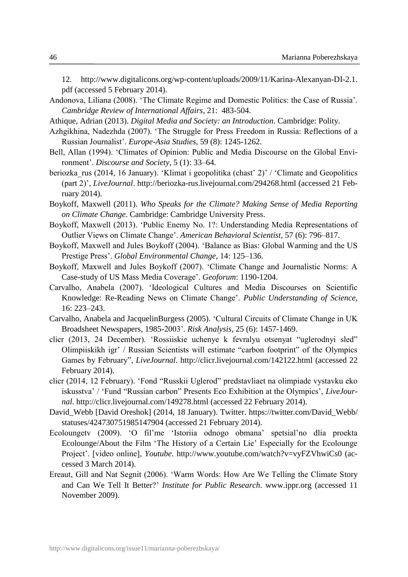12*.* http://www.digitalicons.org/wp-content/uploads/2009/11/Karina-Alexanyan-DI-2.1. pdf (accessed 5 February 2014).

- Andonova, Liliana (2008). 'The Climate Regime and Domestic Politics: the Case of Russia'. *Cambridge Review of International Affairs*, 21: 483-504.
- Athique, Adrian (2013). *Digital Media and Society: an Introduction*. Cambridge: Polity.
- Azhgikhina, Nadezhda (2007). 'The Struggle for Press Freedom in Russia: Reflections of a Russian Journalist'. *Europe-Asia Studies*, 59 (8): 1245-1262.
- Bell, Allan (1994). 'Climates of Opinion: Public and Media Discourse on the Global Environment'. *Discourse and Society*, 5 (1): 33–64.
- beriozka rus (2014, 16 January). 'Klimat i geopolitika (chast' 2)' / 'Climate and Geopolitics (part 2)', *LiveJournal*. http://beriozka-rus.livejournal.com/294268.html (accessed 21 February 2014).
- Boykoff, Maxwell (2011). *Who Speaks for the Climate? Making Sense of Media Reporting on Climate Change*. Cambridge: Cambridge University Press.
- Boykoff, Maxwell (2013). 'Public Enemy No. 1?: Understanding Media Representations of Outlier Views on Climate Change'. *American Behavioral Scientist*, 57 (6): 796–817.
- Boykoff, Maxwell and Jules Boykoff (2004). 'Balance as Bias: Global Warming and the US Prestige Press'. *Global Environmental Change*, 14: 125–136.
- Boykoff, Maxwell and Jules Boykoff (2007). 'Climate Change and Journalistic Norms: A Case-study of US Mass Media Coverage'. *Geoforum*: 1190-1204.
- Carvalho, Anabela (2007). 'Ideological Cultures and Media Discourses on Scientific Knowledge: Re-Reading News on Climate Change'. *Public Understanding of Science*, 16: 223–243.
- Carvalho, Anabela and JacquelinBurgess (2005). 'Cultural Circuits of Climate Change in UK Broadsheet Newspapers, 1985-2003'. *Risk Analysis*, 25 (6): 1457-1469.
- clicr (2013, 24 December). 'Rossiiskie uchenye k fevralyu otsenyat "uglerodnyi sled" Olimpiiskikh igr' / Russian Scientists will estimate "carbon footprint" of the Olympics Games by February", *LiveJournal*. http://clicr.livejournal.com/142122.html (accessed 22 February 2014).
- clicr (2014, 12 February). 'Fond "Russkii Uglerod" predstavliaet na olimpiade vystavku eko iskusstva' / 'Fund "Russian carbon" Presents Eco Exhibition at the Olympics', *LiveJournal*. http://clicr.livejournal.com/149278.html (accessed 22 February 2014).
- David\_Webb [David Oreshok] (2014, 18 January). Twitter. https://twitter.com/David\_Webb/ statuses/424730751985147904 (accessed 21 February 2014).
- Ecoloungetv (2009). 'O fil'me 'Istoriia odnogo obmana' spetsial'no dlia proekta Ecolounge/About the Film 'The History of a Certain Lie' Especially for the Ecolounge Project'. [video online], *Youtube*. http://www.youtube.com/watch?v=vyFZVhwiCs0 (accessed 3 March 2014).
- Ereaut, Gill and Nat Segnit (2006). 'Warm Words: How Are We Telling the Climate Story and Can We Tell It Better?' *Institute for Public Research*. www.ippr.org (accessed 11 November 2009).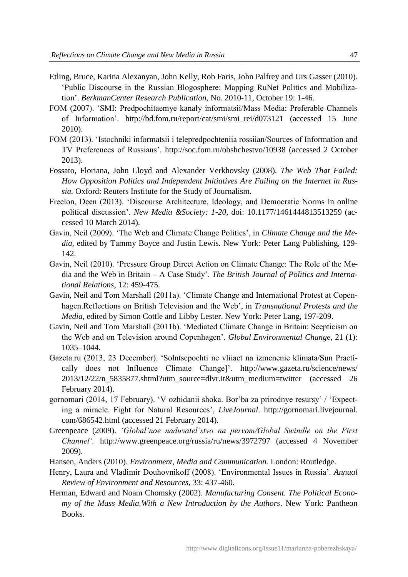- Etling, Bruce, Karina Alexanyan, John Kelly, Rob Faris, John Palfrey and Urs Gasser (2010). 'Public Discourse in the Russian Blogosphere: Mapping RuNet Politics and Mobilization'. *BerkmanCenter Research Publication,* No. 2010-11, October 19: 1-46.
- FOM (2007). 'SMI: Predpochitaemye kanaly informatsii/Mass Media: Preferable Channels of Information'. http://bd.fom.ru/report/cat/smi/smi\_rei/d073121 (accessed 15 June 2010).
- FOM (2013). 'Istochniki informatsii i telepredpochteniia rossiian/Sources of Information and TV Preferences of Russians'. http://soc.fom.ru/obshchestvo/10938 (accessed 2 October 2013).
- Fossato, Floriana, John Lloyd and Alexander Verkhovsky (2008). *The Web That Failed: How Opposition Politics and Independent Initiatives Are Failing on the Internet in Russia.* Oxford: Reuters Institute for the Study of Journalism.
- Freelon, Deen (2013). 'Discourse Architecture, Ideology, and Democratic Norms in online political discussion'. *New Media &Society: 1-20,* doi: 10.1177/1461444813513259 (accessed 10 March 2014).
- Gavin, Neil (2009). 'The Web and Climate Change Politics', in *Climate Change and the Media,* edited by Tammy Boyce and Justin Lewis. New York: Peter Lang Publishing, 129- 142.
- Gavin, Neil (2010). 'Pressure Group Direct Action on Climate Change: The Role of the Media and the Web in Britain – A Case Study'. *The British Journal of Politics and International Relations*, 12: 459-475.
- Gavin, Neil and Tom Marshall (2011a). 'Climate Change and International Protest at Copenhagen.Reflections on British Television and the Web', in *Transnational Protests and the Media*, edited by Simon Cottle and Libby Lester. New York: Peter Lang, 197-209.
- Gavin, Neil and Tom Marshall (2011b). 'Mediated Climate Change in Britain: Scepticism on the Web and on Television around Copenhagen'. *Global Environmental Change*, 21 (1): 1035–1044.
- Gazeta.ru (2013, 23 December). 'Solntsepochti ne vliiaet na izmenenie klimata/Sun Practically does not Influence Climate Change]'. http://www.gazeta.ru/science/news/ 2013/12/22/n\_5835877.shtml?utm\_source=dlvr.it&utm\_medium=twitter (accessed 26 February 2014).
- gornomari (2014, 17 February). 'V ozhidanii shoka. Bor'ba za prirodnye resursy' / 'Expecting a miracle. Fight for Natural Resources', *LiveJournal*. http://gornomari.livejournal. com/686542.html (accessed 21 February 2014).
- Greenpeace (2009). *'Global'noe naduvatel'stvo na pervom/Global Swindle on the First Channel'.* http://www.greenpeace.org/russia/ru/news/3972797 (accessed 4 November 2009).
- Hansen, Anders (2010). *Environment, Media and Communication.* London: Routledge.
- Henry, Laura and Vladimir Douhovnikoff (2008). 'Environmental Issues in Russia'. *Annual Review of Environment and Resources*, 33: 437-460.
- Herman, Edward and Noam Chomsky (2002). *Manufacturing Consent. The Political Economy of the Mass Media.With a New Introduction by the Authors*. New York: Pantheon Books.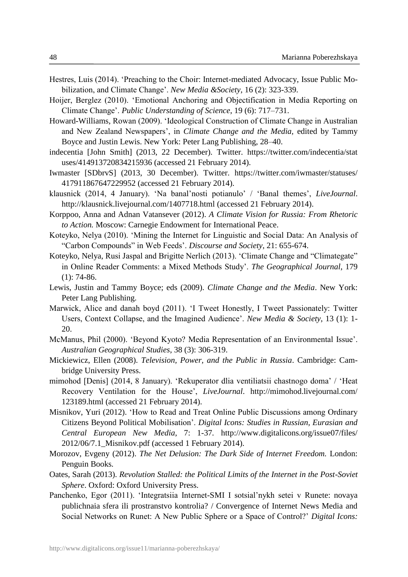- Hestres, Luis (2014). 'Preaching to the Choir: Internet-mediated Advocacy, Issue Public Mobilization, and Climate Change'. *New Media &Society*, 16 (2): 323-339.
- Hoijer, Berglez (2010). 'Emotional Anchoring and Objectification in Media Reporting on Climate Change'. *Public Understanding of Science*, 19 (6): 717–731.
- Howard-Williams, Rowan (2009). 'Ideological Construction of Climate Change in Australian and New Zealand Newspapers', in *Climate Change and the Media,* edited by Tammy Boyce and Justin Lewis. New York: Peter Lang Publishing, 28–40.
- indecentia [John Smith] (2013, 22 December). Twitter. https://twitter.com/indecentia/stat uses/414913720834215936 (accessed 21 February 2014).
- Iwmaster [SDbrvS] (2013, 30 December). Twitter. https://twitter.com/iwmaster/statuses/ 417911867647229952 (accessed 21 February 2014).
- klausnick (2014, 4 January). 'Na banal'nosti potianulo' / 'Banal themes', *LiveJournal*. http://klausnick.livejournal.com/1407718.html (accessed 21 February 2014).
- Korppoo, Anna and Adnan Vatansever (2012). *A Climate Vision for Russia: From Rhetoric to Action.* Moscow: Carnegie Endowment for International Peace.
- Koteyko, Nelya (2010). 'Mining the Internet for Linguistic and Social Data: An Analysis of "Carbon Compounds" in Web Feeds'. *Discourse and Society*, 21: 655-674.
- Koteyko, Nelya, Rusi Jaspal and Brigitte Nerlich (2013). 'Climate Change and "Climategate" in Online Reader Comments: a Mixed Methods Study'. *The Geographical Journal*, 179 (1): 74-86.
- Lewis, Justin and Tammy Boyce; eds (2009). *Climate Change and the Media*. New York: Peter Lang Publishing.
- Marwick, Alice and danah boyd (2011). 'I Tweet Honestly, I Tweet Passionately: Twitter Users, Context Collapse, and the Imagined Audience'. *New Media & Society*, 13 (1): 1- 20.
- McManus, Phil (2000). 'Beyond Kyoto? Media Representation of an Environmental Issue'. *Australian Geographical Studies*, 38 (3): 306-319.
- Mickiewicz, Ellen (2008). *Television, Power, and the Public in Russia*. Cambridge: Cambridge University Press.
- mimohod [Denis] (2014, 8 January). 'Rekuperator dlia ventiliatsii chastnogo doma' / 'Heat Recovery Ventilation for the House', *LiveJournal*. http://mimohod.livejournal.com/ 123189.html (accessed 21 February 2014).
- Misnikov, Yuri (2012). 'How to Read and Treat Online Public Discussions among Ordinary Citizens Beyond Political Mobilisation'. *Digital Icons: Studies in Russian, Eurasian and Central European New Media*, 7: 1-37*.* http://www.digitalicons.org/issue07/files/ 2012/06/7.1\_Misnikov.pdf (accessed 1 February 2014).
- Morozov, Evgeny (2012). *The Net Delusion: The Dark Side of Internet Freedom.* London: Penguin Books*.*
- Oates, Sarah (2013). *Revolution Stalled: the Political Limits of the Internet in the Post-Soviet Sphere*. Oxford: Oxford University Press.
- Panchenko, Egor (2011). 'Integratsiia Internet-SMI I sotsial'nykh setei v Runete: novaya publichnaia sfera ili prostranstvo kontrolia? / Convergence of Internet News Media and Social Networks on Runet: A New Public Sphere or a Space of Control?' *Digital Icons:*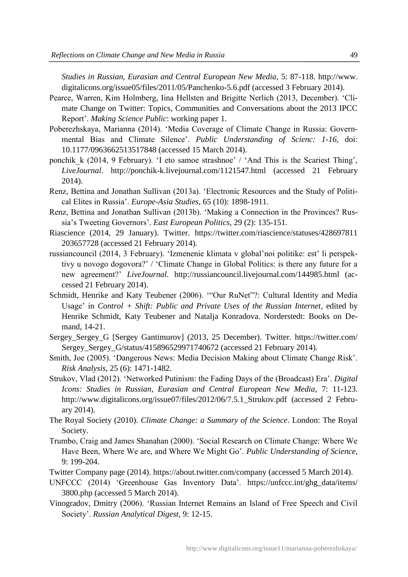*Studies in Russian, Eurasian and Central European New Media*, 5: 87-118. http://www. digitalicons.org/issue05/files/2011/05/Panchenko-5.6.pdf (accessed 3 February 2014).

- Pearce, Warren, Kim Holmberg, Iina Hellsten and Brigitte Nerlich (2013, December). 'Climate Change on Twitter: Topics, Communities and Conversations about the 2013 IPCC Report'. *Making Science Public*: working paper 1.
- Poberezhskaya, Marianna (2014). 'Media Coverage of Climate Change in Russia: Governmental Bias and Climate Silence'. *Public Understanding of Scienc: 1-16,* doi: 10.1177/0963662513517848 (accessed 15 March 2014).
- ponchik\_k (2014, 9 February). 'I eto samoe strashnoe' / 'And This is the Scariest Thing', *LiveJournal*. http://ponchik-k.livejournal.com/1121547.html (accessed 21 February 2014).
- Renz, Bettina and Jonathan Sullivan (2013a). 'Electronic Resources and the Study of Political Elites in Russia'. *Europe-Asia Studies*, 65 (10): 1898-1911.
- Renz, Bettina and Jonathan Sullivan (2013b). 'Making a Connection in the Provinces? Russia's Tweeting Governors'. *East European Politics*, 29 (2): 135-151.
- Riascience (2014, 29 January). Twitter. https://twitter.com/riascience/statuses/428697811 203657728 (accessed 21 February 2014).
- russiancouncil (2014, 3 February). 'Izmenenie klimata v global'noi politike: est' li perspektivy u novogo dogovora?' / 'Climate Change in Global Politics: is there any future for a new agreement?' *LiveJournal*. http://russiancouncil.livejournal.com/144985.html (accessed 21 February 2014).
- Schmidt, Henrike and Katy Teubener (2006). '"Our RuNet"?: Cultural Identity and Media Usage' in *Control + Shift: Public and Private Uses of the Russian Internet*, edited by Henrike Schmidt, Katy Teubener and Natalja Konradova. Norderstedt: Books on Demand, 14-21.
- Sergey\_Sergey\_G [Sergey Gantimurov] (2013, 25 December). Twitter. https://twitter.com/ Sergey\_Sergey\_G/status/415896529971740672 (accessed 21 February 2014).
- Smith, Joe (2005). 'Dangerous News: Media Decision Making about Climate Change Risk'. *Risk Analysis*, 25 (6): 1471-1482.
- Strukov, Vlad (2012). 'Networked Putinism: the Fading Days of the (Broadcast) Era'. *Digital Icons: Studies in Russian, Eurasian and Central European New Media, 7: 11-123.* http://www.digitalicons.org/issue07/files/2012/06/7.5.1\_Strukov.pdf (accessed 2 February 2014).
- The Royal Society (2010). *Climate Change: a Summary of the Science*. London: The Royal Society.
- Trumbo, Craig and James Shanahan (2000). 'Social Research on Climate Change: Where We Have Been, Where We are, and Where We Might Go'. *Public Understanding of Science*, 9: 199-204.
- Twitter Company page (2014). https://about.twitter.com/company (accessed 5 March 2014).
- UNFCCC (2014) 'Greenhouse Gas Inventory Data'. https://unfccc.int/ghg\_data/items/ 3800.php (accessed 5 March 2014).
- Vinogradov, Dmitry (2006). 'Russian Internet Remains an Island of Free Speech and Civil Society'. *Russian Analytical Digest*, 9: 12-15.